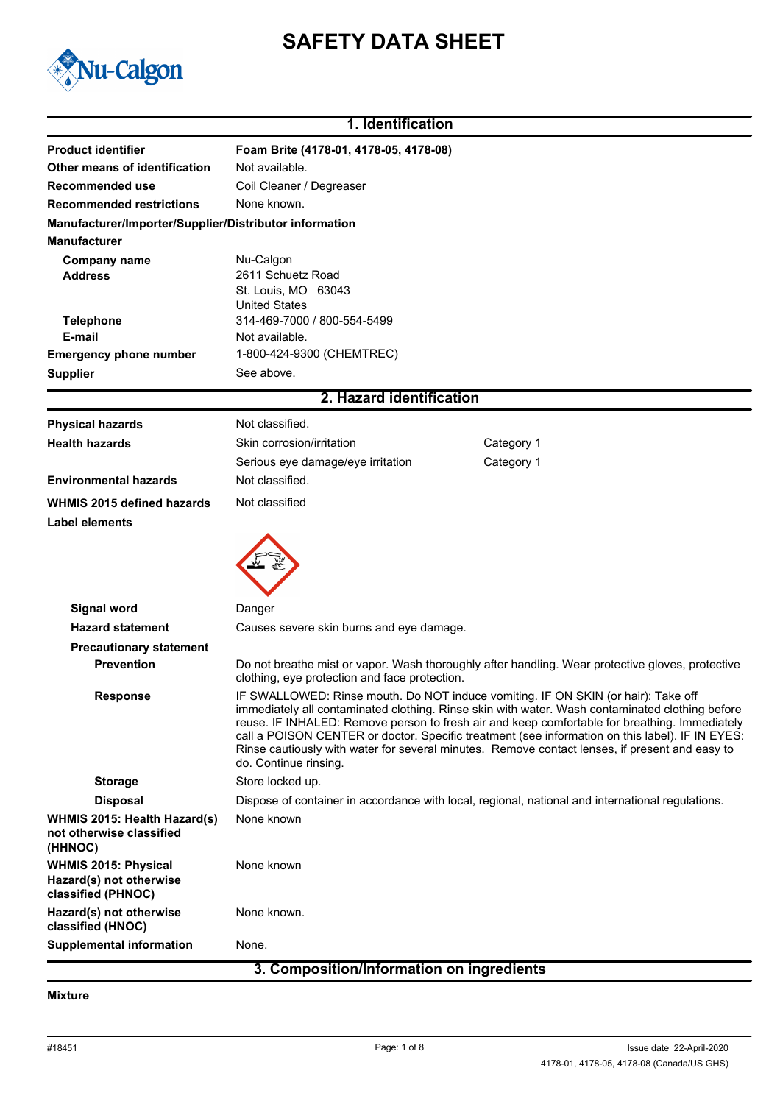# **SAFETY DATA SHEET**



# **1. Identification**

| <b>Product identifier</b>                                                     | Foam Brite (4178-01, 4178-05, 4178-08)                                                                                                                                                                                                                                                                                                                                                                                                                                                                              |  |  |
|-------------------------------------------------------------------------------|---------------------------------------------------------------------------------------------------------------------------------------------------------------------------------------------------------------------------------------------------------------------------------------------------------------------------------------------------------------------------------------------------------------------------------------------------------------------------------------------------------------------|--|--|
| Other means of identification                                                 | Not available.                                                                                                                                                                                                                                                                                                                                                                                                                                                                                                      |  |  |
| Recommended use<br><b>Recommended restrictions</b>                            | Coil Cleaner / Degreaser<br>None known.                                                                                                                                                                                                                                                                                                                                                                                                                                                                             |  |  |
|                                                                               |                                                                                                                                                                                                                                                                                                                                                                                                                                                                                                                     |  |  |
| Manufacturer/Importer/Supplier/Distributor information<br><b>Manufacturer</b> |                                                                                                                                                                                                                                                                                                                                                                                                                                                                                                                     |  |  |
|                                                                               |                                                                                                                                                                                                                                                                                                                                                                                                                                                                                                                     |  |  |
| <b>Company name</b><br><b>Address</b>                                         | Nu-Calgon<br>2611 Schuetz Road                                                                                                                                                                                                                                                                                                                                                                                                                                                                                      |  |  |
|                                                                               | St. Louis, MO 63043                                                                                                                                                                                                                                                                                                                                                                                                                                                                                                 |  |  |
|                                                                               | <b>United States</b>                                                                                                                                                                                                                                                                                                                                                                                                                                                                                                |  |  |
| <b>Telephone</b>                                                              | 314-469-7000 / 800-554-5499                                                                                                                                                                                                                                                                                                                                                                                                                                                                                         |  |  |
| E-mail<br><b>Emergency phone number</b>                                       | Not available.<br>1-800-424-9300 (CHEMTREC)                                                                                                                                                                                                                                                                                                                                                                                                                                                                         |  |  |
| <b>Supplier</b>                                                               | See above.                                                                                                                                                                                                                                                                                                                                                                                                                                                                                                          |  |  |
|                                                                               |                                                                                                                                                                                                                                                                                                                                                                                                                                                                                                                     |  |  |
|                                                                               | 2. Hazard identification                                                                                                                                                                                                                                                                                                                                                                                                                                                                                            |  |  |
| <b>Physical hazards</b>                                                       | Not classified.                                                                                                                                                                                                                                                                                                                                                                                                                                                                                                     |  |  |
| <b>Health hazards</b>                                                         | Category 1<br>Skin corrosion/irritation                                                                                                                                                                                                                                                                                                                                                                                                                                                                             |  |  |
|                                                                               | Serious eye damage/eye irritation<br>Category 1                                                                                                                                                                                                                                                                                                                                                                                                                                                                     |  |  |
| <b>Environmental hazards</b>                                                  | Not classified.                                                                                                                                                                                                                                                                                                                                                                                                                                                                                                     |  |  |
| WHMIS 2015 defined hazards                                                    | Not classified                                                                                                                                                                                                                                                                                                                                                                                                                                                                                                      |  |  |
| Label elements                                                                |                                                                                                                                                                                                                                                                                                                                                                                                                                                                                                                     |  |  |
|                                                                               |                                                                                                                                                                                                                                                                                                                                                                                                                                                                                                                     |  |  |
| Signal word                                                                   | Danger                                                                                                                                                                                                                                                                                                                                                                                                                                                                                                              |  |  |
| <b>Hazard statement</b>                                                       | Causes severe skin burns and eye damage.                                                                                                                                                                                                                                                                                                                                                                                                                                                                            |  |  |
| <b>Precautionary statement</b>                                                |                                                                                                                                                                                                                                                                                                                                                                                                                                                                                                                     |  |  |
| <b>Prevention</b>                                                             | Do not breathe mist or vapor. Wash thoroughly after handling. Wear protective gloves, protective<br>clothing, eye protection and face protection.                                                                                                                                                                                                                                                                                                                                                                   |  |  |
| <b>Response</b>                                                               | IF SWALLOWED: Rinse mouth. Do NOT induce vomiting. IF ON SKIN (or hair): Take off<br>immediately all contaminated clothing. Rinse skin with water. Wash contaminated clothing before<br>reuse. IF INHALED: Remove person to fresh air and keep comfortable for breathing. Immediately<br>call a POISON CENTER or doctor. Specific treatment (see information on this label). IF IN EYES:<br>Rinse cautiously with water for several minutes. Remove contact lenses, if present and easy to<br>do. Continue rinsing. |  |  |
| <b>Storage</b>                                                                | Store locked up.                                                                                                                                                                                                                                                                                                                                                                                                                                                                                                    |  |  |
| <b>Disposal</b>                                                               | Dispose of container in accordance with local, regional, national and international regulations.                                                                                                                                                                                                                                                                                                                                                                                                                    |  |  |
| WHMIS 2015: Health Hazard(s)<br>not otherwise classified<br>(HHNOC)           | None known                                                                                                                                                                                                                                                                                                                                                                                                                                                                                                          |  |  |
| <b>WHMIS 2015: Physical</b><br>Hazard(s) not otherwise<br>classified (PHNOC)  | None known                                                                                                                                                                                                                                                                                                                                                                                                                                                                                                          |  |  |
| Hazard(s) not otherwise<br>classified (HNOC)                                  | None known.                                                                                                                                                                                                                                                                                                                                                                                                                                                                                                         |  |  |
| <b>Supplemental information</b>                                               | None.                                                                                                                                                                                                                                                                                                                                                                                                                                                                                                               |  |  |

# **3. Composition/Information on ingredients**

## **Mixture**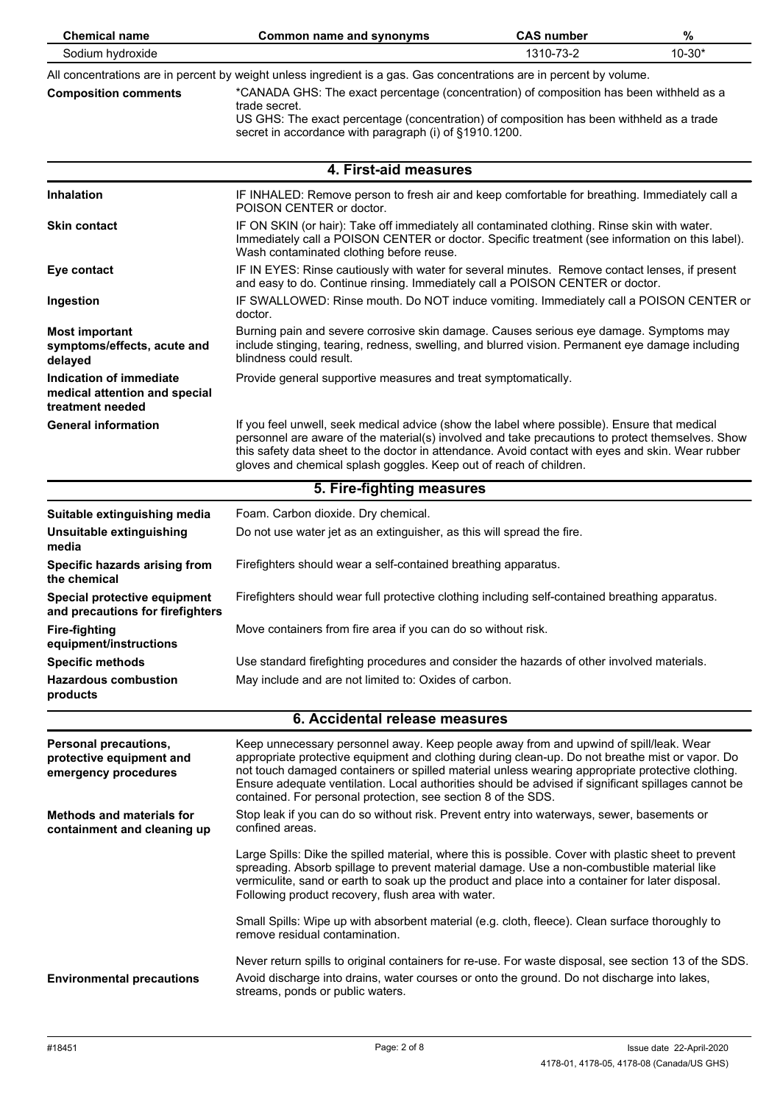| <b>Chemical name</b>                                                         | <b>Common name and synonyms</b>                                                                                                                                                                                                                                                                                                                                                                                                                                      | <b>CAS number</b> | %          |
|------------------------------------------------------------------------------|----------------------------------------------------------------------------------------------------------------------------------------------------------------------------------------------------------------------------------------------------------------------------------------------------------------------------------------------------------------------------------------------------------------------------------------------------------------------|-------------------|------------|
| Sodium hydroxide                                                             |                                                                                                                                                                                                                                                                                                                                                                                                                                                                      | 1310-73-2         | $10 - 30*$ |
| <b>Composition comments</b>                                                  | All concentrations are in percent by weight unless ingredient is a gas. Gas concentrations are in percent by volume.<br>*CANADA GHS: The exact percentage (concentration) of composition has been withheld as a<br>trade secret.<br>US GHS: The exact percentage (concentration) of composition has been withheld as a trade<br>secret in accordance with paragraph (i) of §1910.1200.                                                                               |                   |            |
|                                                                              | 4. First-aid measures                                                                                                                                                                                                                                                                                                                                                                                                                                                |                   |            |
|                                                                              |                                                                                                                                                                                                                                                                                                                                                                                                                                                                      |                   |            |
| <b>Inhalation</b><br><b>Skin contact</b>                                     | IF INHALED: Remove person to fresh air and keep comfortable for breathing. Immediately call a<br>POISON CENTER or doctor.<br>IF ON SKIN (or hair): Take off immediately all contaminated clothing. Rinse skin with water.                                                                                                                                                                                                                                            |                   |            |
|                                                                              | Immediately call a POISON CENTER or doctor. Specific treatment (see information on this label).<br>Wash contaminated clothing before reuse.                                                                                                                                                                                                                                                                                                                          |                   |            |
| Eye contact                                                                  | IF IN EYES: Rinse cautiously with water for several minutes. Remove contact lenses, if present<br>and easy to do. Continue rinsing. Immediately call a POISON CENTER or doctor.                                                                                                                                                                                                                                                                                      |                   |            |
| Ingestion                                                                    | IF SWALLOWED: Rinse mouth. Do NOT induce vomiting. Immediately call a POISON CENTER or<br>doctor.                                                                                                                                                                                                                                                                                                                                                                    |                   |            |
| <b>Most important</b><br>symptoms/effects, acute and<br>delayed              | Burning pain and severe corrosive skin damage. Causes serious eye damage. Symptoms may<br>include stinging, tearing, redness, swelling, and blurred vision. Permanent eye damage including<br>blindness could result.                                                                                                                                                                                                                                                |                   |            |
| Indication of immediate<br>medical attention and special<br>treatment needed | Provide general supportive measures and treat symptomatically.                                                                                                                                                                                                                                                                                                                                                                                                       |                   |            |
| <b>General information</b>                                                   | If you feel unwell, seek medical advice (show the label where possible). Ensure that medical<br>personnel are aware of the material(s) involved and take precautions to protect themselves. Show<br>this safety data sheet to the doctor in attendance. Avoid contact with eyes and skin. Wear rubber<br>gloves and chemical splash goggles. Keep out of reach of children.                                                                                          |                   |            |
|                                                                              | 5. Fire-fighting measures                                                                                                                                                                                                                                                                                                                                                                                                                                            |                   |            |
| Suitable extinguishing media                                                 | Foam. Carbon dioxide. Dry chemical.                                                                                                                                                                                                                                                                                                                                                                                                                                  |                   |            |
| Unsuitable extinguishing<br>media                                            | Do not use water jet as an extinguisher, as this will spread the fire.                                                                                                                                                                                                                                                                                                                                                                                               |                   |            |
| Specific hazards arising from<br>the chemical                                | Firefighters should wear a self-contained breathing apparatus.                                                                                                                                                                                                                                                                                                                                                                                                       |                   |            |
| Special protective equipment<br>and precautions for firefighters             | Firefighters should wear full protective clothing including self-contained breathing apparatus.                                                                                                                                                                                                                                                                                                                                                                      |                   |            |
| <b>Fire-fighting</b><br>equipment/instructions                               | Move containers from fire area if you can do so without risk.                                                                                                                                                                                                                                                                                                                                                                                                        |                   |            |
| <b>Specific methods</b>                                                      | Use standard firefighting procedures and consider the hazards of other involved materials.                                                                                                                                                                                                                                                                                                                                                                           |                   |            |
| <b>Hazardous combustion</b><br>products                                      | May include and are not limited to: Oxides of carbon.                                                                                                                                                                                                                                                                                                                                                                                                                |                   |            |
|                                                                              | 6. Accidental release measures                                                                                                                                                                                                                                                                                                                                                                                                                                       |                   |            |
| Personal precautions,<br>protective equipment and<br>emergency procedures    | Keep unnecessary personnel away. Keep people away from and upwind of spill/leak. Wear<br>appropriate protective equipment and clothing during clean-up. Do not breathe mist or vapor. Do<br>not touch damaged containers or spilled material unless wearing appropriate protective clothing.<br>Ensure adequate ventilation. Local authorities should be advised if significant spillages cannot be<br>contained. For personal protection, see section 8 of the SDS. |                   |            |
| <b>Methods and materials for</b><br>containment and cleaning up              | Stop leak if you can do so without risk. Prevent entry into waterways, sewer, basements or<br>confined areas.                                                                                                                                                                                                                                                                                                                                                        |                   |            |
|                                                                              | Large Spills: Dike the spilled material, where this is possible. Cover with plastic sheet to prevent<br>spreading. Absorb spillage to prevent material damage. Use a non-combustible material like<br>vermiculite, sand or earth to soak up the product and place into a container for later disposal.<br>Following product recovery, flush area with water.                                                                                                         |                   |            |
|                                                                              | Small Spills: Wipe up with absorbent material (e.g. cloth, fleece). Clean surface thoroughly to<br>remove residual contamination.                                                                                                                                                                                                                                                                                                                                    |                   |            |
| <b>Environmental precautions</b>                                             | Never return spills to original containers for re-use. For waste disposal, see section 13 of the SDS.<br>Avoid discharge into drains, water courses or onto the ground. Do not discharge into lakes,<br>streams, ponds or public waters.                                                                                                                                                                                                                             |                   |            |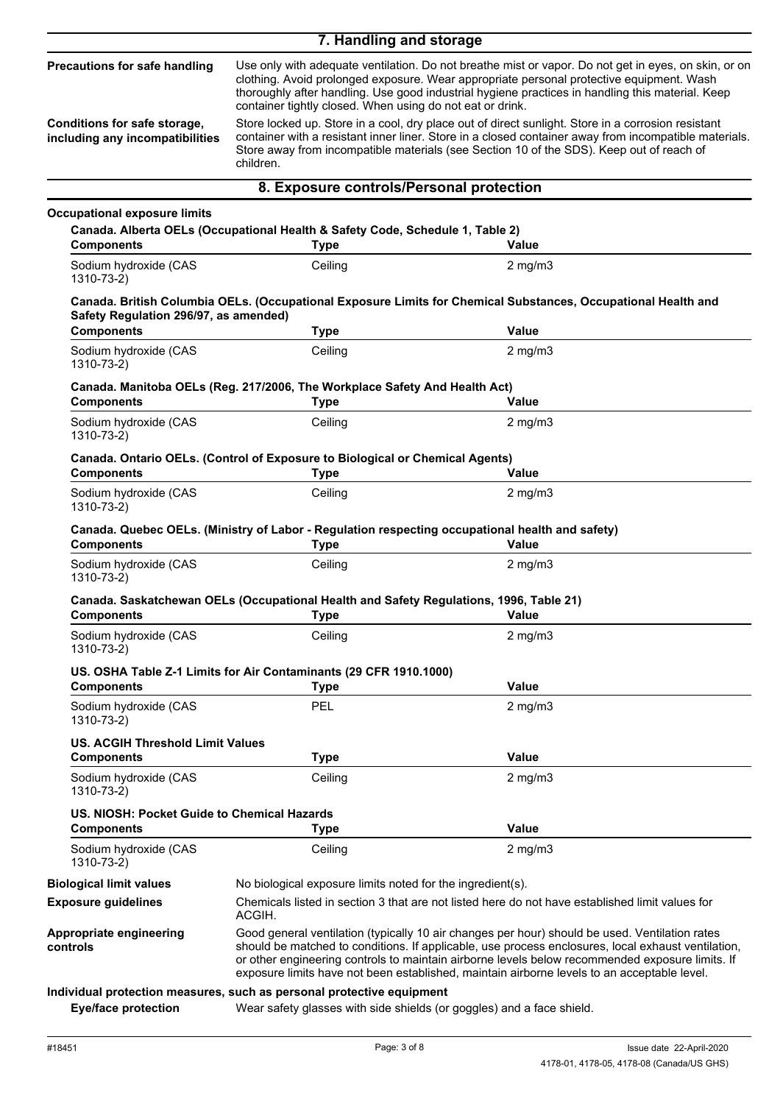|                                                                                                  | 7. Handling and storage                                                                                                                        |                                                                                                                                                                                                                                                                                                                                                                                                                                                                                                                                                                                                                 |
|--------------------------------------------------------------------------------------------------|------------------------------------------------------------------------------------------------------------------------------------------------|-----------------------------------------------------------------------------------------------------------------------------------------------------------------------------------------------------------------------------------------------------------------------------------------------------------------------------------------------------------------------------------------------------------------------------------------------------------------------------------------------------------------------------------------------------------------------------------------------------------------|
| Precautions for safe handling<br>Conditions for safe storage,<br>including any incompatibilities | container tightly closed. When using do not eat or drink.<br>children.                                                                         | Use only with adequate ventilation. Do not breathe mist or vapor. Do not get in eyes, on skin, or on<br>clothing. Avoid prolonged exposure. Wear appropriate personal protective equipment. Wash<br>thoroughly after handling. Use good industrial hygiene practices in handling this material. Keep<br>Store locked up. Store in a cool, dry place out of direct sunlight. Store in a corrosion resistant<br>container with a resistant inner liner. Store in a closed container away from incompatible materials.<br>Store away from incompatible materials (see Section 10 of the SDS). Keep out of reach of |
|                                                                                                  | 8. Exposure controls/Personal protection                                                                                                       |                                                                                                                                                                                                                                                                                                                                                                                                                                                                                                                                                                                                                 |
|                                                                                                  |                                                                                                                                                |                                                                                                                                                                                                                                                                                                                                                                                                                                                                                                                                                                                                                 |
| <b>Occupational exposure limits</b><br><b>Components</b>                                         | Canada. Alberta OELs (Occupational Health & Safety Code, Schedule 1, Table 2)<br><b>Type</b>                                                   | Value                                                                                                                                                                                                                                                                                                                                                                                                                                                                                                                                                                                                           |
| Sodium hydroxide (CAS<br>1310-73-2)                                                              | Ceiling                                                                                                                                        | $2$ mg/m $3$                                                                                                                                                                                                                                                                                                                                                                                                                                                                                                                                                                                                    |
| Safety Regulation 296/97, as amended)                                                            |                                                                                                                                                | Canada. British Columbia OELs. (Occupational Exposure Limits for Chemical Substances, Occupational Health and                                                                                                                                                                                                                                                                                                                                                                                                                                                                                                   |
| <b>Components</b>                                                                                | <b>Type</b>                                                                                                                                    | <b>Value</b>                                                                                                                                                                                                                                                                                                                                                                                                                                                                                                                                                                                                    |
| Sodium hydroxide (CAS<br>1310-73-2)                                                              | Ceiling                                                                                                                                        | $2$ mg/m $3$                                                                                                                                                                                                                                                                                                                                                                                                                                                                                                                                                                                                    |
| <b>Components</b>                                                                                | Canada. Manitoba OELs (Reg. 217/2006, The Workplace Safety And Health Act)<br><b>Type</b>                                                      | Value                                                                                                                                                                                                                                                                                                                                                                                                                                                                                                                                                                                                           |
| Sodium hydroxide (CAS<br>1310-73-2)                                                              | Ceiling                                                                                                                                        | $2$ mg/m $3$                                                                                                                                                                                                                                                                                                                                                                                                                                                                                                                                                                                                    |
| <b>Components</b>                                                                                | Canada. Ontario OELs. (Control of Exposure to Biological or Chemical Agents)<br><b>Type</b>                                                    | Value                                                                                                                                                                                                                                                                                                                                                                                                                                                                                                                                                                                                           |
| Sodium hydroxide (CAS<br>$1310 - 73 - 2$                                                         | Ceiling                                                                                                                                        | $2$ mg/m $3$                                                                                                                                                                                                                                                                                                                                                                                                                                                                                                                                                                                                    |
| <b>Components</b>                                                                                | Canada. Quebec OELs. (Ministry of Labor - Regulation respecting occupational health and safety)<br><b>Type</b>                                 | Value                                                                                                                                                                                                                                                                                                                                                                                                                                                                                                                                                                                                           |
| Sodium hydroxide (CAS<br>1310-73-2)                                                              | Ceiling                                                                                                                                        | $2$ mg/m $3$                                                                                                                                                                                                                                                                                                                                                                                                                                                                                                                                                                                                    |
| <b>Components</b>                                                                                | Canada. Saskatchewan OELs (Occupational Health and Safety Regulations, 1996, Table 21)<br><b>Type</b>                                          | Value                                                                                                                                                                                                                                                                                                                                                                                                                                                                                                                                                                                                           |
| Sodium hydroxide (CAS<br>1310-73-2)                                                              | Ceiling                                                                                                                                        | $2$ mg/m $3$                                                                                                                                                                                                                                                                                                                                                                                                                                                                                                                                                                                                    |
| <b>Components</b>                                                                                | US. OSHA Table Z-1 Limits for Air Contaminants (29 CFR 1910.1000)<br><b>Type</b>                                                               | <b>Value</b>                                                                                                                                                                                                                                                                                                                                                                                                                                                                                                                                                                                                    |
| Sodium hydroxide (CAS<br>1310-73-2)                                                              | <b>PEL</b>                                                                                                                                     | $2$ mg/m $3$                                                                                                                                                                                                                                                                                                                                                                                                                                                                                                                                                                                                    |
| <b>US. ACGIH Threshold Limit Values</b>                                                          |                                                                                                                                                |                                                                                                                                                                                                                                                                                                                                                                                                                                                                                                                                                                                                                 |
| <b>Components</b>                                                                                | <b>Type</b>                                                                                                                                    | <b>Value</b>                                                                                                                                                                                                                                                                                                                                                                                                                                                                                                                                                                                                    |
| Sodium hydroxide (CAS<br>$1310 - 73 - 2$                                                         | Ceiling                                                                                                                                        | $2$ mg/m $3$                                                                                                                                                                                                                                                                                                                                                                                                                                                                                                                                                                                                    |
| US. NIOSH: Pocket Guide to Chemical Hazards<br><b>Components</b>                                 | <b>Type</b>                                                                                                                                    | <b>Value</b>                                                                                                                                                                                                                                                                                                                                                                                                                                                                                                                                                                                                    |
| Sodium hydroxide (CAS<br>1310-73-2)                                                              | Ceiling                                                                                                                                        | $2$ mg/m $3$                                                                                                                                                                                                                                                                                                                                                                                                                                                                                                                                                                                                    |
| <b>Biological limit values</b>                                                                   | No biological exposure limits noted for the ingredient(s).                                                                                     |                                                                                                                                                                                                                                                                                                                                                                                                                                                                                                                                                                                                                 |
| <b>Exposure guidelines</b>                                                                       | ACGIH.                                                                                                                                         | Chemicals listed in section 3 that are not listed here do not have established limit values for                                                                                                                                                                                                                                                                                                                                                                                                                                                                                                                 |
| Appropriate engineering<br>controls                                                              |                                                                                                                                                | Good general ventilation (typically 10 air changes per hour) should be used. Ventilation rates<br>should be matched to conditions. If applicable, use process enclosures, local exhaust ventilation,<br>or other engineering controls to maintain airborne levels below recommended exposure limits. If<br>exposure limits have not been established, maintain airborne levels to an acceptable level.                                                                                                                                                                                                          |
| <b>Eye/face protection</b>                                                                       | Individual protection measures, such as personal protective equipment<br>Wear safety glasses with side shields (or goggles) and a face shield. |                                                                                                                                                                                                                                                                                                                                                                                                                                                                                                                                                                                                                 |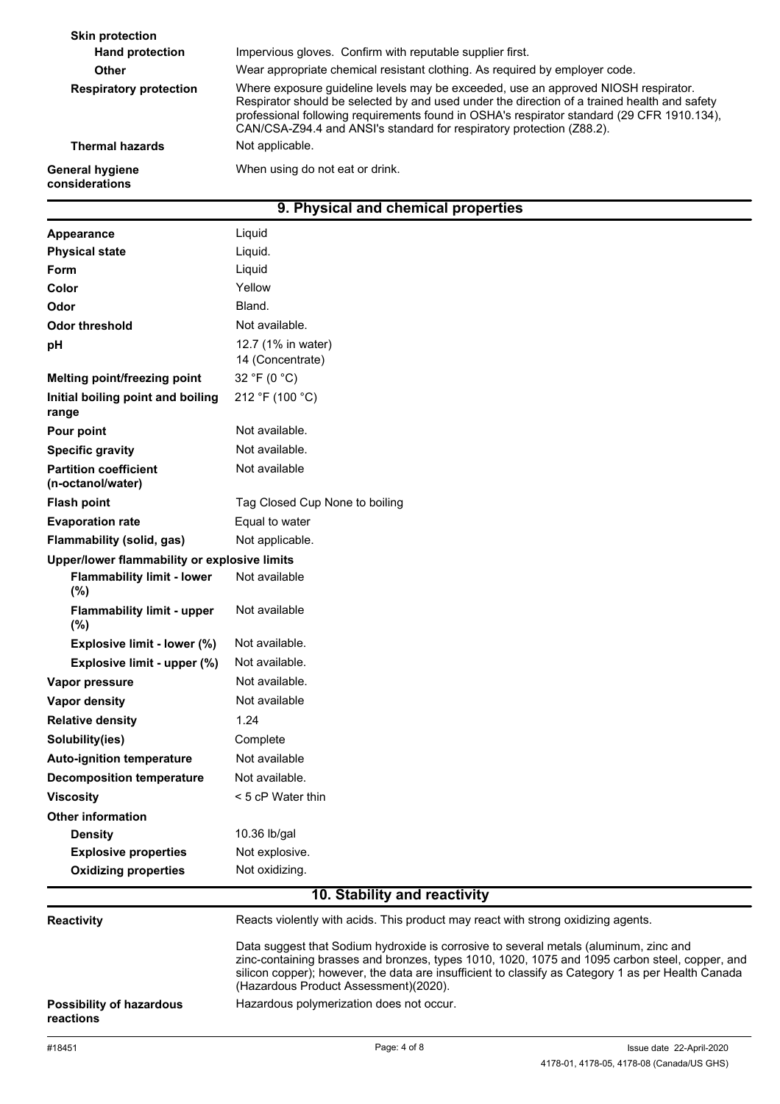| <b>Skin protection</b>                   |                                                                                                                                                                                                                                                                                                                                                           |
|------------------------------------------|-----------------------------------------------------------------------------------------------------------------------------------------------------------------------------------------------------------------------------------------------------------------------------------------------------------------------------------------------------------|
| <b>Hand protection</b>                   | Impervious gloves. Confirm with reputable supplier first.                                                                                                                                                                                                                                                                                                 |
| <b>Other</b>                             | Wear appropriate chemical resistant clothing. As required by employer code.                                                                                                                                                                                                                                                                               |
| <b>Respiratory protection</b>            | Where exposure quideline levels may be exceeded, use an approved NIOSH respirator.<br>Respirator should be selected by and used under the direction of a trained health and safety<br>professional following requirements found in OSHA's respirator standard (29 CFR 1910.134),<br>CAN/CSA-Z94.4 and ANSI's standard for respiratory protection (Z88.2). |
| <b>Thermal hazards</b>                   | Not applicable.                                                                                                                                                                                                                                                                                                                                           |
| <b>General hygiene</b><br>considerations | When using do not eat or drink.                                                                                                                                                                                                                                                                                                                           |
|                                          |                                                                                                                                                                                                                                                                                                                                                           |

# **9. Physical and chemical properties**

| Appearance                                        | Liquid                                                                                                                                                                                                                                                                                                                                 |
|---------------------------------------------------|----------------------------------------------------------------------------------------------------------------------------------------------------------------------------------------------------------------------------------------------------------------------------------------------------------------------------------------|
| <b>Physical state</b>                             | Liquid.                                                                                                                                                                                                                                                                                                                                |
| Form                                              | Liquid                                                                                                                                                                                                                                                                                                                                 |
| Color                                             | Yellow                                                                                                                                                                                                                                                                                                                                 |
| Odor                                              | Bland.                                                                                                                                                                                                                                                                                                                                 |
| <b>Odor threshold</b>                             | Not available.                                                                                                                                                                                                                                                                                                                         |
| pH                                                | 12.7 (1% in water)<br>14 (Concentrate)                                                                                                                                                                                                                                                                                                 |
| Melting point/freezing point                      | 32 °F (0 °C)                                                                                                                                                                                                                                                                                                                           |
| Initial boiling point and boiling<br>range        | 212 °F (100 °C)                                                                                                                                                                                                                                                                                                                        |
| Pour point                                        | Not available.                                                                                                                                                                                                                                                                                                                         |
| <b>Specific gravity</b>                           | Not available.                                                                                                                                                                                                                                                                                                                         |
| <b>Partition coefficient</b><br>(n-octanol/water) | Not available                                                                                                                                                                                                                                                                                                                          |
| <b>Flash point</b>                                | Tag Closed Cup None to boiling                                                                                                                                                                                                                                                                                                         |
| <b>Evaporation rate</b>                           | Equal to water                                                                                                                                                                                                                                                                                                                         |
| Flammability (solid, gas)                         | Not applicable.                                                                                                                                                                                                                                                                                                                        |
| Upper/lower flammability or explosive limits      |                                                                                                                                                                                                                                                                                                                                        |
| <b>Flammability limit - lower</b><br>(%)          | Not available                                                                                                                                                                                                                                                                                                                          |
| <b>Flammability limit - upper</b><br>(%)          | Not available                                                                                                                                                                                                                                                                                                                          |
| Explosive limit - lower (%)                       | Not available.                                                                                                                                                                                                                                                                                                                         |
| Explosive limit - upper (%)                       | Not available.                                                                                                                                                                                                                                                                                                                         |
| Vapor pressure                                    | Not available.                                                                                                                                                                                                                                                                                                                         |
| <b>Vapor density</b>                              | Not available                                                                                                                                                                                                                                                                                                                          |
| <b>Relative density</b>                           | 1.24                                                                                                                                                                                                                                                                                                                                   |
| Solubility(ies)                                   | Complete                                                                                                                                                                                                                                                                                                                               |
| <b>Auto-ignition temperature</b>                  | Not available                                                                                                                                                                                                                                                                                                                          |
| <b>Decomposition temperature</b>                  | Not available.                                                                                                                                                                                                                                                                                                                         |
| <b>Viscosity</b>                                  | < 5 cP Water thin                                                                                                                                                                                                                                                                                                                      |
| <b>Other information</b>                          |                                                                                                                                                                                                                                                                                                                                        |
| <b>Density</b>                                    | 10.36 lb/gal                                                                                                                                                                                                                                                                                                                           |
| <b>Explosive properties</b>                       | Not explosive.                                                                                                                                                                                                                                                                                                                         |
| <b>Oxidizing properties</b>                       | Not oxidizing.                                                                                                                                                                                                                                                                                                                         |
|                                                   | 10. Stability and reactivity                                                                                                                                                                                                                                                                                                           |
| Reactivity                                        | Reacts violently with acids. This product may react with strong oxidizing agents.                                                                                                                                                                                                                                                      |
|                                                   | Data suggest that Sodium hydroxide is corrosive to several metals (aluminum, zinc and<br>zinc-containing brasses and bronzes, types 1010, 1020, 1075 and 1095 carbon steel, copper, and<br>silicon copper); however, the data are insufficient to classify as Category 1 as per Health Canada<br>(Hazardous Product Assessment)(2020). |
| <b>Possibility of hazardous</b><br>reactions      | Hazardous polymerization does not occur.                                                                                                                                                                                                                                                                                               |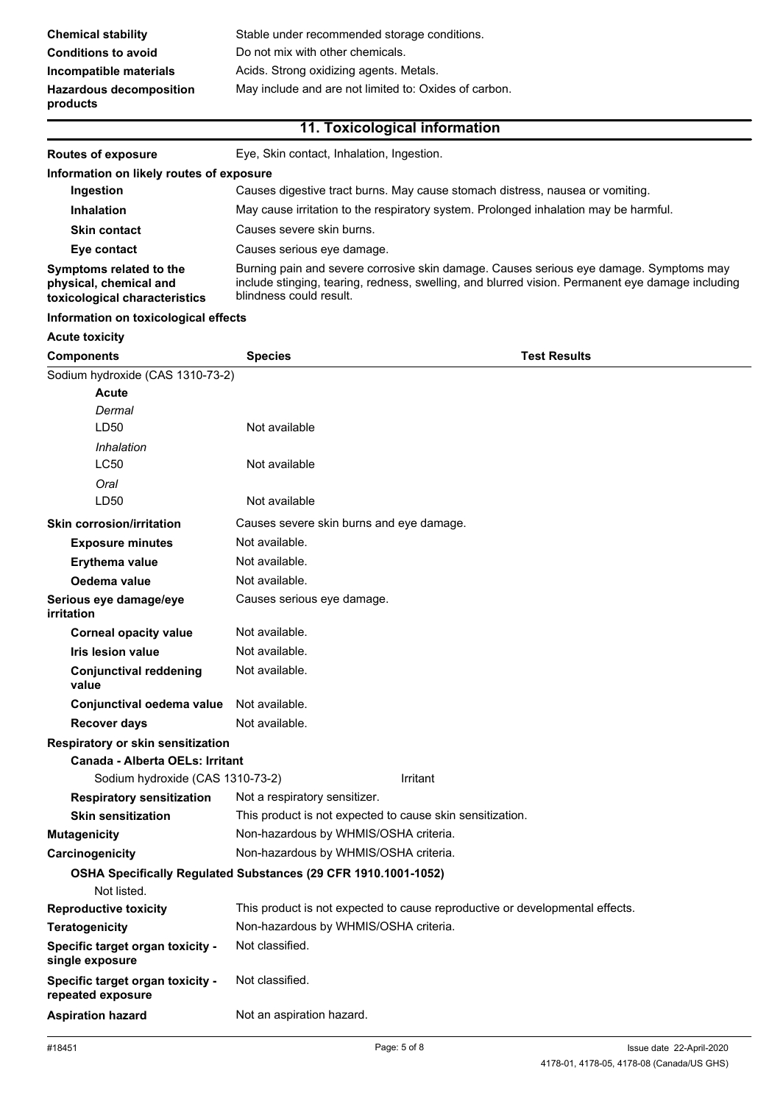# **11. Toxicological information**

| <b>Routes of exposure</b>                                                          | Eye, Skin contact, Inhalation, Ingestion.                                                                                                                                                                             |
|------------------------------------------------------------------------------------|-----------------------------------------------------------------------------------------------------------------------------------------------------------------------------------------------------------------------|
| Information on likely routes of exposure                                           |                                                                                                                                                                                                                       |
| Ingestion                                                                          | Causes digestive tract burns. May cause stomach distress, nausea or vomiting.                                                                                                                                         |
| <b>Inhalation</b>                                                                  | May cause irritation to the respiratory system. Prolonged inhalation may be harmful.                                                                                                                                  |
| <b>Skin contact</b>                                                                | Causes severe skin burns.                                                                                                                                                                                             |
| Eye contact                                                                        | Causes serious eye damage.                                                                                                                                                                                            |
| Symptoms related to the<br>physical, chemical and<br>toxicological characteristics | Burning pain and severe corrosive skin damage. Causes serious eye damage. Symptoms may<br>include stinging, tearing, redness, swelling, and blurred vision. Permanent eye damage including<br>blindness could result. |

#### **Information on toxicological effects**

### **Acute toxicity**

| <b>Components</b>                                     | <b>Species</b>                                                 | Test Results                                                                 |  |
|-------------------------------------------------------|----------------------------------------------------------------|------------------------------------------------------------------------------|--|
| Sodium hydroxide (CAS 1310-73-2)                      |                                                                |                                                                              |  |
| Acute                                                 |                                                                |                                                                              |  |
| Dermal                                                |                                                                |                                                                              |  |
| LD50                                                  | Not available                                                  |                                                                              |  |
| Inhalation                                            |                                                                |                                                                              |  |
| <b>LC50</b>                                           | Not available                                                  |                                                                              |  |
| Oral                                                  |                                                                |                                                                              |  |
| LD50                                                  | Not available                                                  |                                                                              |  |
| <b>Skin corrosion/irritation</b>                      | Causes severe skin burns and eye damage.                       |                                                                              |  |
| <b>Exposure minutes</b>                               | Not available.                                                 |                                                                              |  |
| <b>Erythema value</b>                                 | Not available.                                                 |                                                                              |  |
| Oedema value                                          | Not available.                                                 |                                                                              |  |
| Serious eye damage/eye<br>irritation                  | Causes serious eye damage.                                     |                                                                              |  |
| <b>Corneal opacity value</b>                          | Not available.                                                 |                                                                              |  |
| <b>Iris lesion value</b>                              | Not available.                                                 |                                                                              |  |
| <b>Conjunctival reddening</b><br>value                | Not available.                                                 |                                                                              |  |
| Conjunctival oedema value                             | Not available.                                                 |                                                                              |  |
| <b>Recover days</b>                                   | Not available.                                                 |                                                                              |  |
| Respiratory or skin sensitization                     |                                                                |                                                                              |  |
| Canada - Alberta OELs: Irritant                       |                                                                |                                                                              |  |
| Sodium hydroxide (CAS 1310-73-2)                      |                                                                | Irritant                                                                     |  |
| <b>Respiratory sensitization</b>                      | Not a respiratory sensitizer.                                  |                                                                              |  |
| <b>Skin sensitization</b>                             | This product is not expected to cause skin sensitization.      |                                                                              |  |
| <b>Mutagenicity</b>                                   | Non-hazardous by WHMIS/OSHA criteria.                          |                                                                              |  |
| Carcinogenicity                                       | Non-hazardous by WHMIS/OSHA criteria.                          |                                                                              |  |
|                                                       | OSHA Specifically Regulated Substances (29 CFR 1910.1001-1052) |                                                                              |  |
| Not listed.                                           |                                                                |                                                                              |  |
| <b>Reproductive toxicity</b>                          |                                                                | This product is not expected to cause reproductive or developmental effects. |  |
| <b>Teratogenicity</b>                                 | Non-hazardous by WHMIS/OSHA criteria.                          |                                                                              |  |
| Specific target organ toxicity -<br>single exposure   | Not classified.                                                |                                                                              |  |
| Specific target organ toxicity -<br>repeated exposure | Not classified.                                                |                                                                              |  |
| <b>Aspiration hazard</b>                              | Not an aspiration hazard.                                      |                                                                              |  |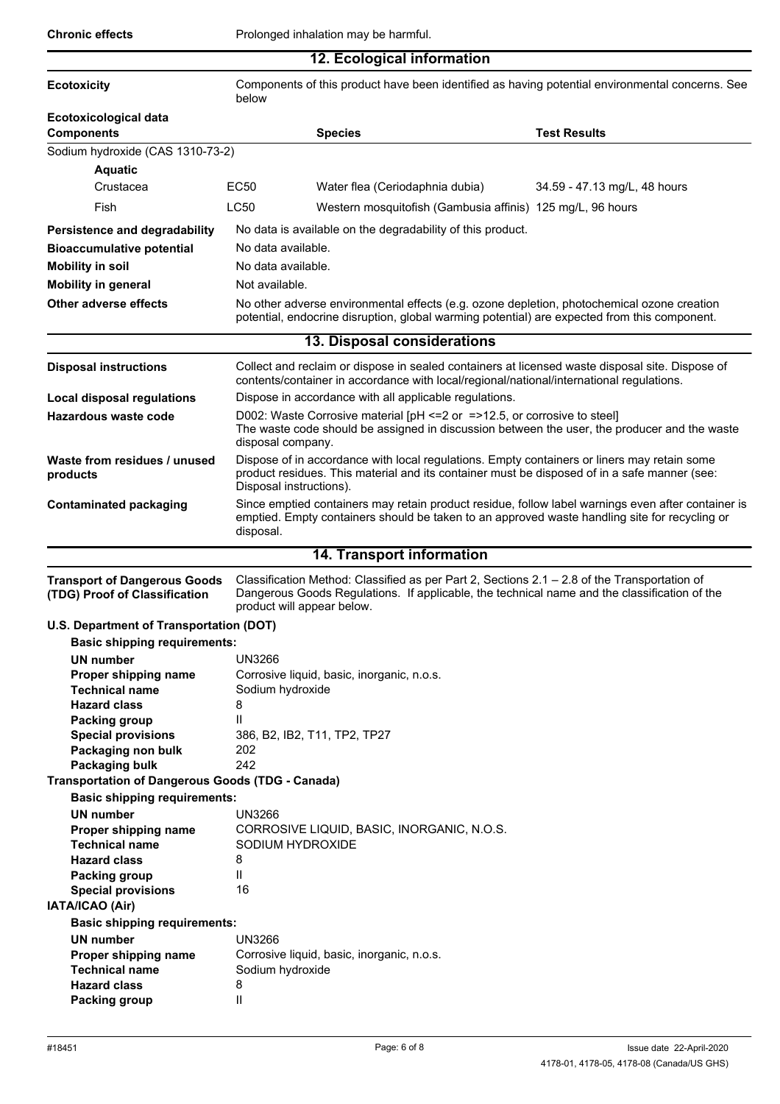|                                                                      |                                                                                                          | 12. Ecological information                                                                                                                                                                       |                                                                                                                                                                                                     |
|----------------------------------------------------------------------|----------------------------------------------------------------------------------------------------------|--------------------------------------------------------------------------------------------------------------------------------------------------------------------------------------------------|-----------------------------------------------------------------------------------------------------------------------------------------------------------------------------------------------------|
| <b>Ecotoxicity</b>                                                   | Components of this product have been identified as having potential environmental concerns. See<br>below |                                                                                                                                                                                                  |                                                                                                                                                                                                     |
| Ecotoxicological data<br><b>Components</b>                           |                                                                                                          | <b>Species</b>                                                                                                                                                                                   | <b>Test Results</b>                                                                                                                                                                                 |
| Sodium hydroxide (CAS 1310-73-2)                                     |                                                                                                          |                                                                                                                                                                                                  |                                                                                                                                                                                                     |
| <b>Aquatic</b>                                                       |                                                                                                          |                                                                                                                                                                                                  |                                                                                                                                                                                                     |
| Crustacea                                                            | EC <sub>50</sub>                                                                                         | Water flea (Ceriodaphnia dubia)                                                                                                                                                                  | 34.59 - 47.13 mg/L, 48 hours                                                                                                                                                                        |
|                                                                      |                                                                                                          |                                                                                                                                                                                                  |                                                                                                                                                                                                     |
| Fish                                                                 | LC50                                                                                                     |                                                                                                                                                                                                  | Western mosquitofish (Gambusia affinis) 125 mg/L, 96 hours                                                                                                                                          |
| <b>Persistence and degradability</b>                                 |                                                                                                          | No data is available on the degradability of this product.                                                                                                                                       |                                                                                                                                                                                                     |
| <b>Bioaccumulative potential</b>                                     | No data available.                                                                                       |                                                                                                                                                                                                  |                                                                                                                                                                                                     |
| <b>Mobility in soil</b>                                              | No data available.                                                                                       |                                                                                                                                                                                                  |                                                                                                                                                                                                     |
| <b>Mobility in general</b>                                           | Not available.                                                                                           |                                                                                                                                                                                                  |                                                                                                                                                                                                     |
|                                                                      |                                                                                                          |                                                                                                                                                                                                  |                                                                                                                                                                                                     |
| <b>Other adverse effects</b>                                         |                                                                                                          |                                                                                                                                                                                                  | No other adverse environmental effects (e.g. ozone depletion, photochemical ozone creation<br>potential, endocrine disruption, global warming potential) are expected from this component.          |
|                                                                      |                                                                                                          | 13. Disposal considerations                                                                                                                                                                      |                                                                                                                                                                                                     |
| <b>Disposal instructions</b>                                         |                                                                                                          |                                                                                                                                                                                                  | Collect and reclaim or dispose in sealed containers at licensed waste disposal site. Dispose of<br>contents/container in accordance with local/regional/national/international regulations.         |
| <b>Local disposal regulations</b>                                    |                                                                                                          | Dispose in accordance with all applicable regulations.                                                                                                                                           |                                                                                                                                                                                                     |
| Hazardous waste code                                                 |                                                                                                          | D002: Waste Corrosive material [pH <= 2 or = > 12.5, or corrosive to steel]<br>The waste code should be assigned in discussion between the user, the producer and the waste<br>disposal company. |                                                                                                                                                                                                     |
| Waste from residues / unused<br>products                             |                                                                                                          | Disposal instructions).                                                                                                                                                                          | Dispose of in accordance with local regulations. Empty containers or liners may retain some<br>product residues. This material and its container must be disposed of in a safe manner (see:         |
| <b>Contaminated packaging</b>                                        |                                                                                                          |                                                                                                                                                                                                  | Since emptied containers may retain product residue, follow label warnings even after container is<br>emptied. Empty containers should be taken to an approved waste handling site for recycling or |
|                                                                      | disposal.                                                                                                | <b>14. Transport information</b>                                                                                                                                                                 |                                                                                                                                                                                                     |
|                                                                      |                                                                                                          |                                                                                                                                                                                                  |                                                                                                                                                                                                     |
| <b>Transport of Dangerous Goods</b><br>(TDG) Proof of Classification |                                                                                                          | product will appear below.                                                                                                                                                                       | Classification Method: Classified as per Part 2, Sections 2.1 - 2.8 of the Transportation of<br>Dangerous Goods Regulations. If applicable, the technical name and the classification of the        |
| U.S. Department of Transportation (DOT)                              |                                                                                                          |                                                                                                                                                                                                  |                                                                                                                                                                                                     |
| <b>Basic shipping requirements:</b>                                  |                                                                                                          |                                                                                                                                                                                                  |                                                                                                                                                                                                     |
| <b>UN number</b>                                                     | UN3266                                                                                                   |                                                                                                                                                                                                  |                                                                                                                                                                                                     |
| Proper shipping name                                                 |                                                                                                          | Corrosive liquid, basic, inorganic, n.o.s.                                                                                                                                                       |                                                                                                                                                                                                     |
| <b>Technical name</b>                                                | Sodium hydroxide                                                                                         |                                                                                                                                                                                                  |                                                                                                                                                                                                     |
| <b>Hazard class</b>                                                  | 8                                                                                                        |                                                                                                                                                                                                  |                                                                                                                                                                                                     |
| Packing group                                                        | Ш                                                                                                        |                                                                                                                                                                                                  |                                                                                                                                                                                                     |
| <b>Special provisions</b>                                            |                                                                                                          | 386, B2, IB2, T11, TP2, TP27                                                                                                                                                                     |                                                                                                                                                                                                     |
| Packaging non bulk                                                   | 202                                                                                                      |                                                                                                                                                                                                  |                                                                                                                                                                                                     |
| Packaging bulk                                                       | 242                                                                                                      |                                                                                                                                                                                                  |                                                                                                                                                                                                     |
| <b>Transportation of Dangerous Goods (TDG - Canada)</b>              |                                                                                                          |                                                                                                                                                                                                  |                                                                                                                                                                                                     |
| <b>Basic shipping requirements:</b>                                  |                                                                                                          |                                                                                                                                                                                                  |                                                                                                                                                                                                     |
| <b>UN number</b>                                                     | <b>UN3266</b>                                                                                            |                                                                                                                                                                                                  |                                                                                                                                                                                                     |
| Proper shipping name<br><b>Technical name</b>                        |                                                                                                          | CORROSIVE LIQUID, BASIC, INORGANIC, N.O.S.<br>SODIUM HYDROXIDE                                                                                                                                   |                                                                                                                                                                                                     |
| <b>Hazard class</b>                                                  | 8                                                                                                        |                                                                                                                                                                                                  |                                                                                                                                                                                                     |
| <b>Packing group</b>                                                 | Ш                                                                                                        |                                                                                                                                                                                                  |                                                                                                                                                                                                     |
| <b>Special provisions</b>                                            | 16                                                                                                       |                                                                                                                                                                                                  |                                                                                                                                                                                                     |
| IATA/ICAO (Air)                                                      |                                                                                                          |                                                                                                                                                                                                  |                                                                                                                                                                                                     |
| <b>Basic shipping requirements:</b>                                  |                                                                                                          |                                                                                                                                                                                                  |                                                                                                                                                                                                     |
| UN number                                                            | <b>UN3266</b>                                                                                            |                                                                                                                                                                                                  |                                                                                                                                                                                                     |
| Proper shipping name                                                 |                                                                                                          | Corrosive liquid, basic, inorganic, n.o.s.                                                                                                                                                       |                                                                                                                                                                                                     |
| <b>Technical name</b>                                                | Sodium hydroxide                                                                                         |                                                                                                                                                                                                  |                                                                                                                                                                                                     |
| <b>Hazard class</b>                                                  | 8                                                                                                        |                                                                                                                                                                                                  |                                                                                                                                                                                                     |
| Packing group                                                        | Ш                                                                                                        |                                                                                                                                                                                                  |                                                                                                                                                                                                     |

**Packing group**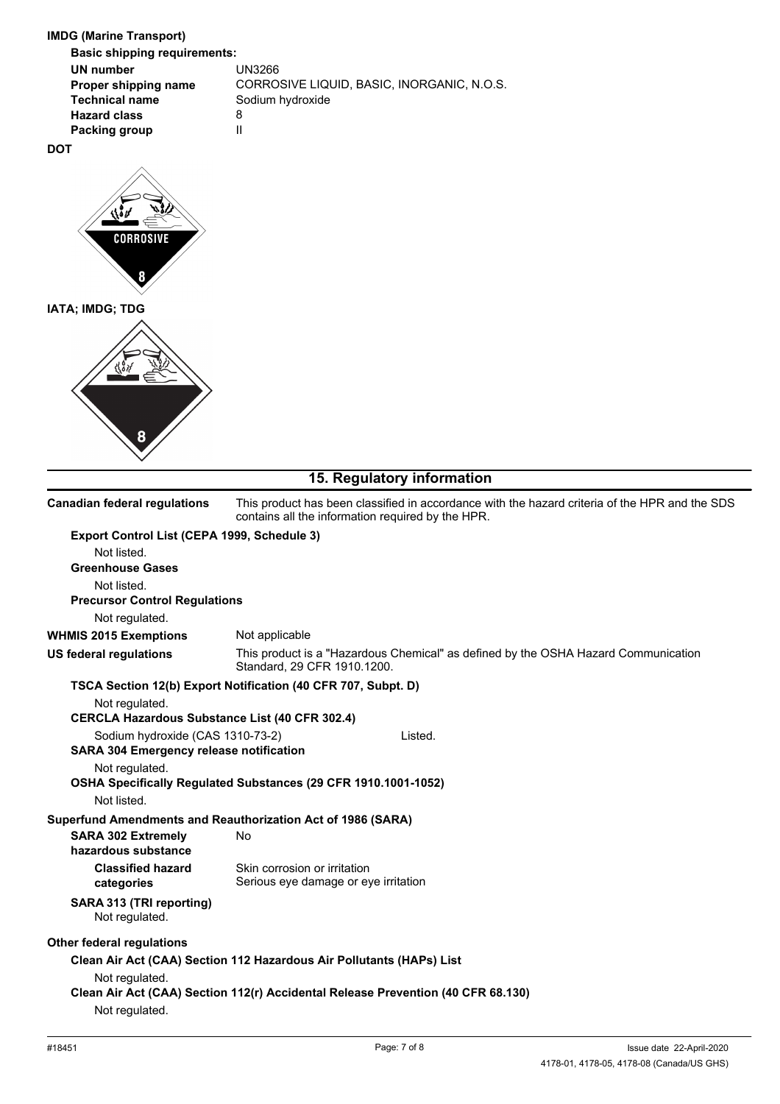| <b>IMDG (Marine Transport)</b><br><b>Basic shipping requirements:</b>                    |                                                                                                                                                     |
|------------------------------------------------------------------------------------------|-----------------------------------------------------------------------------------------------------------------------------------------------------|
| <b>UN number</b><br>Proper shipping name<br><b>Technical name</b><br><b>Hazard class</b> | <b>UN3266</b><br>CORROSIVE LIQUID, BASIC, INORGANIC, N.O.S.<br>Sodium hydroxide<br>8                                                                |
| <b>Packing group</b><br><b>DOT</b>                                                       | $\mathsf{II}$                                                                                                                                       |
| <b>CORROSIVE</b>                                                                         |                                                                                                                                                     |
| IATA; IMDG; TDG<br>8                                                                     |                                                                                                                                                     |
|                                                                                          | 15. Regulatory information                                                                                                                          |
| <b>Canadian federal regulations</b>                                                      | This product has been classified in accordance with the hazard criteria of the HPR and the SDS<br>contains all the information required by the HPR. |
| Export Control List (CEPA 1999, Schedule 3)<br>Not listed.<br><b>Greenhouse Gases</b>    |                                                                                                                                                     |

| Not listed.                                           |                                                                                                                   |
|-------------------------------------------------------|-------------------------------------------------------------------------------------------------------------------|
| <b>Precursor Control Regulations</b>                  |                                                                                                                   |
| Not regulated.                                        |                                                                                                                   |
| <b>WHMIS 2015 Exemptions</b>                          | Not applicable                                                                                                    |
| US federal regulations                                | This product is a "Hazardous Chemical" as defined by the OSHA Hazard Communication<br>Standard, 29 CFR 1910.1200. |
|                                                       | TSCA Section 12(b) Export Notification (40 CFR 707, Subpt. D)                                                     |
| Not regulated.                                        |                                                                                                                   |
| <b>CERCLA Hazardous Substance List (40 CFR 302.4)</b> |                                                                                                                   |
| Sodium hydroxide (CAS 1310-73-2)                      | Listed.                                                                                                           |
| <b>SARA 304 Emergency release notification</b>        |                                                                                                                   |
| Not regulated.                                        |                                                                                                                   |
|                                                       | OSHA Specifically Regulated Substances (29 CFR 1910.1001-1052)                                                    |
| Not listed.                                           |                                                                                                                   |
|                                                       | Superfund Amendments and Reauthorization Act of 1986 (SARA)                                                       |
| <b>SARA 302 Extremely</b><br>hazardous substance      | No                                                                                                                |
| <b>Classified hazard</b><br>categories                | Skin corrosion or irritation<br>Serious eye damage or eye irritation                                              |
| SARA 313 (TRI reporting)                              |                                                                                                                   |

## Not regulated.

**Other federal regulations**

# **Clean Air Act (CAA) Section 112 Hazardous Air Pollutants (HAPs) List**

Not regulated.

**Clean Air Act (CAA) Section 112(r) Accidental Release Prevention (40 CFR 68.130)**

Not regulated.